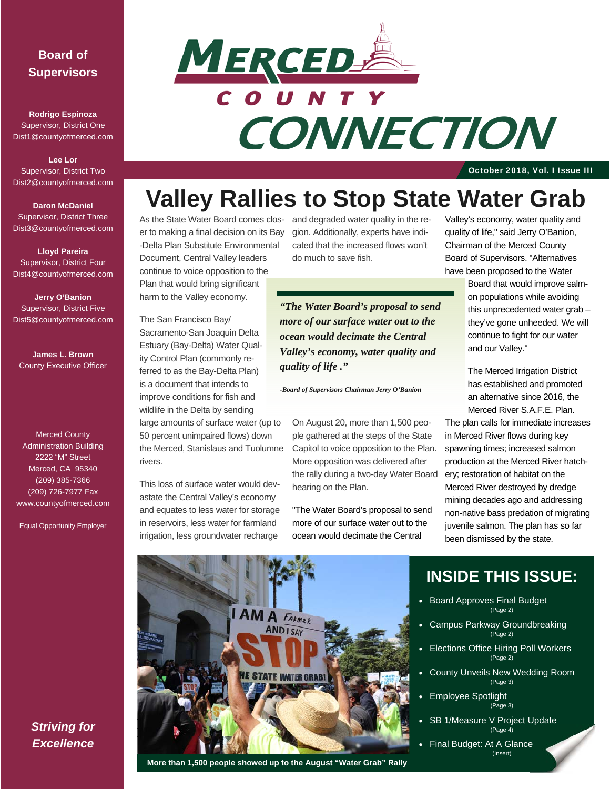### **Board of Supervisors**

**Rodrigo Espinoza**  Supervisor, District One Dist1@countyofmerced.com

**Lee Lor**  Supervisor, District Two Dist2@countyofmerced.com

**Daron McDaniel**  Supervisor, District Three Dist3@countyofmerced.com

**Lloyd Pareira**  Supervisor, District Four Dist4@countyofmerced.com

**Jerry O'Banion**  Supervisor, District Five Dist5@countyofmerced.com

**James L. Brown**  County Executive Officer

Merced County Administration Building 2222 "M" Street Merced, CA 95340 (209) 385-7366 (209) 726-7977 Fax www.countyofmerced.com

Equal Opportunity Employer



# **CONNECTION**

October 2018, Vol. I Issue III

# **Valley Rallies to Stop State Water Grab**

As the State Water Board comes clos-and degraded water quality in the reer to making a final decision on its Bay -Delta Plan Substitute Environmental Document, Central Valley leaders continue to voice opposition to the Plan that would bring significant

harm to the Valley economy.

The San Francisco Bay/ Sacramento-San Joaquin Delta Estuary (Bay-Delta) Water Quality Control Plan (commonly referred to as the Bay-Delta Plan) is a document that intends to improve conditions for fish and wildlife in the Delta by sending large amounts of surface water (up to 50 percent unimpaired flows) down the Merced, Stanislaus and Tuolumne rivers.

This loss of surface water would devastate the Central Valley's economy and equates to less water for storage in reservoirs, less water for farmland irrigation, less groundwater recharge

gion. Additionally, experts have indicated that the increased flows won't do much to save fish.

*"The Water Board's proposal to send more of our surface water out to the ocean would decimate the Central Valley's economy, water quality and quality of life ."* 

*-Board of Supervisors Chairman Jerry O'Banion* 

On August 20, more than 1,500 people gathered at the steps of the State Capitol to voice opposition to the Plan. More opposition was delivered after the rally during a two-day Water Board hearing on the Plan.

"The Water Board's proposal to send more of our surface water out to the ocean would decimate the Central

Valley's economy, water quality and quality of life," said Jerry O'Banion, Chairman of the Merced County Board of Supervisors. "Alternatives have been proposed to the Water

> Board that would improve salmon populations while avoiding this unprecedented water grab – they've gone unheeded. We will continue to fight for our water and our Valley."

The Merced Irrigation District has established and promoted an alternative since 2016, the Merced River S.A.F.E. Plan.

The plan calls for immediate increases in Merced River flows during key spawning times; increased salmon production at the Merced River hatchery; restoration of habitat on the Merced River destroyed by dredge mining decades ago and addressing non-native bass predation of migrating juvenile salmon. The plan has so far been dismissed by the state.



#### **More than 1,500 people showed up to the August "Water Grab" Rally**

# **INSIDE THIS ISSUE:**

- Board Approves Final Budget (Page 2)
- Campus Parkway Groundbreaking  $(P$ age 2)
- Elections Office Hiring Poll Workers (Page 2)
- County Unveils New Wedding Room (Page 3)
- Employee Spotlight  $(P_{\text{and}} 3)$
- SB 1/Measure V Project Update (Page 4)
- Final Budget: At A Glance (Insert)

*Striving for Excellence*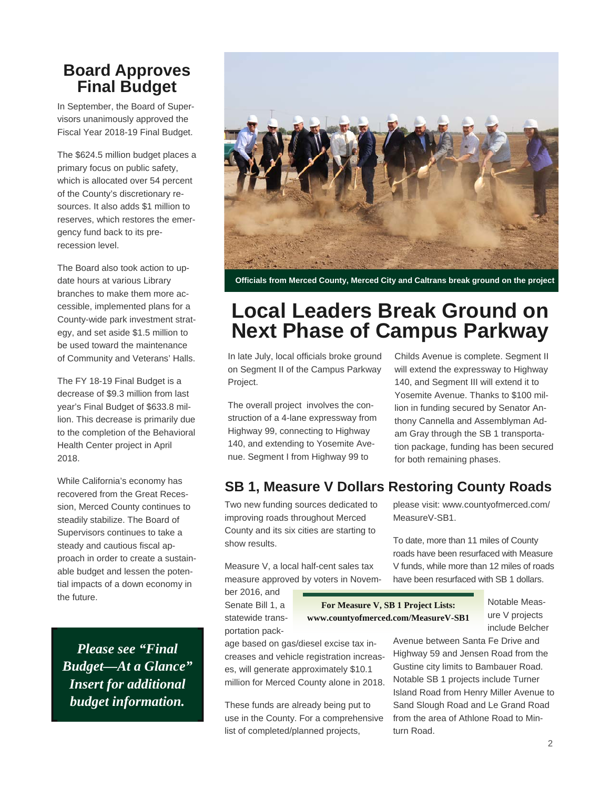### **Board Approves Final Budget**

In September, the Board of Supervisors unanimously approved the Fiscal Year 2018-19 Final Budget.

The \$624.5 million budget places a primary focus on public safety, which is allocated over 54 percent of the County's discretionary resources. It also adds \$1 million to reserves, which restores the emergency fund back to its prerecession level.

The Board also took action to update hours at various Library branches to make them more accessible, implemented plans for a County-wide park investment strategy, and set aside \$1.5 million to be used toward the maintenance of Community and Veterans' Halls.

The FY 18-19 Final Budget is a decrease of \$9.3 million from last year's Final Budget of \$633.8 million. This decrease is primarily due to the completion of the Behavioral Health Center project in April 2018.

While California's economy has recovered from the Great Recession, Merced County continues to steadily stabilize. The Board of Supervisors continues to take a steady and cautious fiscal approach in order to create a sustainable budget and lessen the potential impacts of a down economy in the future.

*Please see "Final Budget—At a Glance" Insert for additional budget information.* 



**Officials from Merced County, Merced City and Caltrans break ground on the project** 

# **Local Leaders Break Ground on Next Phase of Campus Parkway**

In late July, local officials broke ground on Segment II of the Campus Parkway Project.

The overall project involves the construction of a 4-lane expressway from Highway 99, connecting to Highway 140, and extending to Yosemite Avenue. Segment I from Highway 99 to

Childs Avenue is complete. Segment II will extend the expressway to Highway 140, and Segment III will extend it to Yosemite Avenue. Thanks to \$100 million in funding secured by Senator Anthony Cannella and Assemblyman Adam Gray through the SB 1 transportation package, funding has been secured for both remaining phases.

### **SB 1, Measure V Dollars Restoring County Roads**

Two new funding sources dedicated to improving roads throughout Merced County and its six cities are starting to show results.

Measure V, a local half-cent sales tax measure approved by voters in Novem-

ber 2016, and Senate Bill 1, a statewide transportation pack-

**For Measure V, SB 1 Project Lists: www.countyofmerced.com/MeasureV-SB1** 

age based on gas/diesel excise tax increases and vehicle registration increases, will generate approximately \$10.1 million for Merced County alone in 2018.

These funds are already being put to use in the County. For a comprehensive list of completed/planned projects,

please visit: www.countyofmerced.com/ MeasureV-SB1.

To date, more than 11 miles of County roads have been resurfaced with Measure V funds, while more than 12 miles of roads have been resurfaced with SB 1 dollars.

> Notable Measure V projects include Belcher

Avenue between Santa Fe Drive and Highway 59 and Jensen Road from the Gustine city limits to Bambauer Road. Notable SB 1 projects include Turner Island Road from Henry Miller Avenue to Sand Slough Road and Le Grand Road from the area of Athlone Road to Minturn Road.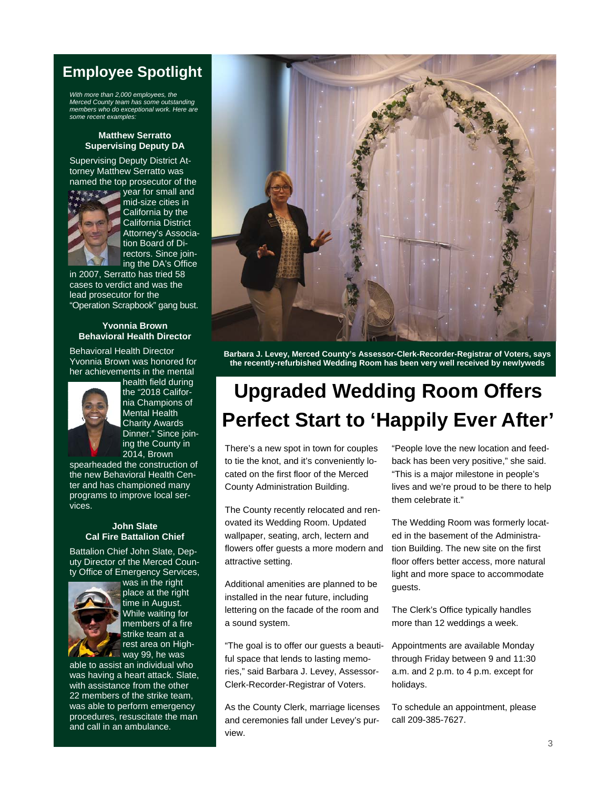### **Employee Spotlight**

*With more than 2,000 employees, the Merced County team has some outstanding members who do exceptional work. Here are some recent examples:* 

#### **Matthew Serratto Supervising Deputy DA**

Supervising Deputy District Attorney Matthew Serratto was named the top prosecutor of the



year for small and mid-size cities in California by the California District Attorney's Association Board of Directors. Since joining the DA's Office

in 2007, Serratto has tried 58 cases to verdict and was the lead prosecutor for the "Operation Scrapbook" gang bust.

#### **Yvonnia Brown Behavioral Health Director**

Behavioral Health Director Yvonnia Brown was honored for her achievements in the mental



health field during the "2018 California Champions of Mental Health Charity Awards Dinner." Since joining the County in 2014, Brown

spearheaded the construction of the new Behavioral Health Center and has championed many programs to improve local services.

#### **John Slate Cal Fire Battalion Chief**

Battalion Chief John Slate, Deputy Director of the Merced County Office of Emergency Services,



was in the right place at the right time in August. While waiting for members of a fire strike team at a rest area on Highway 99, he was

able to assist an individual who was having a heart attack. Slate, with assistance from the other 22 members of the strike team, was able to perform emergency procedures, resuscitate the man and call in an ambulance.



**Barbara J. Levey, Merced County's Assessor-Clerk-Recorder-Registrar of Voters, says the recently-refurbished Wedding Room has been very well received by newlyweds** 

# **Upgraded Wedding Room Offers Perfect Start to 'Happily Ever After'**

There's a new spot in town for couples to tie the knot, and it's conveniently located on the first floor of the Merced County Administration Building.

The County recently relocated and renovated its Wedding Room. Updated wallpaper, seating, arch, lectern and flowers offer guests a more modern and attractive setting.

Additional amenities are planned to be installed in the near future, including lettering on the facade of the room and a sound system.

"The goal is to offer our guests a beautiful space that lends to lasting memories," said Barbara J. Levey, Assessor-Clerk-Recorder-Registrar of Voters.

As the County Clerk, marriage licenses and ceremonies fall under Levey's purview.

"People love the new location and feedback has been very positive," she said. "This is a major milestone in people's lives and we're proud to be there to help them celebrate it."

The Wedding Room was formerly located in the basement of the Administration Building. The new site on the first floor offers better access, more natural light and more space to accommodate guests.

The Clerk's Office typically handles more than 12 weddings a week.

Appointments are available Monday through Friday between 9 and 11:30 a.m. and 2 p.m. to 4 p.m. except for holidays.

To schedule an appointment, please call 209-385-7627.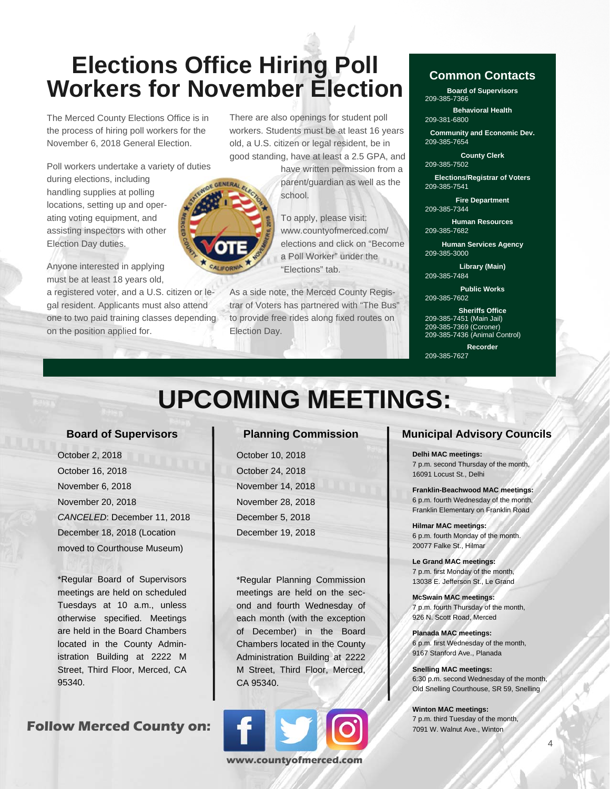# **Elections Office Hiring Poll Workers for November Election**

The Merced County Elections Office is in the process of hiring poll workers for the November 6, 2018 General Election.

Poll workers undertake a variety of duties

during elections, including handling supplies at polling locations, setting up and operating voting equipment, and assisting inspectors with other Election Day duties.

Anyone interested in applying must be at least 18 years old,

a registered voter, and a U.S. citizen or legal resident. Applicants must also attend one to two paid training classes depending on the position applied for.

There are also openings for student poll workers. Students must be at least 16 years old, a U.S. citizen or legal resident, be in good standing, have at least a 2.5 GPA, and

> have written permission from a parent/guardian as well as the school.

To apply, please visit: www.countyofmerced.com/ elections and click on "Become a Poll Worker" under the "Elections" tab.

As a side note, the Merced County Registrar of Voters has partnered with "The Bus" to provide free rides along fixed routes on Election Day.

### **Common Contacts**

**Board of Supervisors**  209-385-7366

**Behavioral Health**  209-381-6800

**Community and Economic Dev.**  209-385-7654

**County Clerk**  209-385-7502

**Elections/Registrar of Voters**  209-385-7541

**Fire Department**  209-385-7344

**Human Resources**  209-385-7682

**Human Services Agency**  209-385-3000

**Library (Main)**  209-385-7484

**Public Works**  209-385-7602

**Sheriffs Office**  209-385-7451 (Main Jail) 209-385-7369 (Coroner) 209-385-7436 (Animal Control)

**Recorder**  209-385-7627

# **UPCOMING MEETINGS:**

#### **Board of Supervisors**

 October 2, 2018 October 16, 2018 November 6, 2018 November 20, 2018 *CANCELED*: December 11, 2018 December 18, 2018 (Location moved to Courthouse Museum)

\*Regular Board of Supervisors meetings are held on scheduled Tuesdays at 10 a.m., unless otherwise specified. Meetings are held in the Board Chambers located in the County Administration Building at 2222 M Street, Third Floor, Merced, CA 95340.

**Follow Merced County on:** 

### **Planning Commission**

 October 10, 2018 October 24, 2018 November 14, 2018 November 28, 2018 December 5, 2018 December 19, 2018

\*Regular Planning Commission meetings are held on the second and fourth Wednesday of each month (with the exception of December) in the Board Chambers located in the County Administration Building at 2222 M Street, Third Floor, Merced, CA 95340.



### **Municipal Advisory Councils**

**Delhi MAC meetings:**  7 p.m. second Thursday of the month, 16091 Locust St., Delhi

**Franklin-Beachwood MAC meetings:**  6 p.m. fourth Wednesday of the month, Franklin Elementary on Franklin Road

**Hilmar MAC meetings:**  6 p.m. fourth Monday of the month. 20077 Falke St., Hilmar

**Le Grand MAC meetings:**  7 p.m. first Monday of the month, 13038 E. Jefferson St., Le Grand

**McSwain MAC meetings:**  7 p.m. fourth Thursday of the month, 926 N. Scott Road, Merced

**Planada MAC meetings:**  6 p.m. first Wednesday of the month, 9167 Stanford Ave., Planada

**Snelling MAC meetings:**  6:30 p.m. second Wednesday of the month, Old Snelling Courthouse, SR 59, Snelling

 $\Delta$ 

**Winton MAC meetings:**  7 p.m. third Tuesday of the month, 7091 W. Walnut Ave., Winton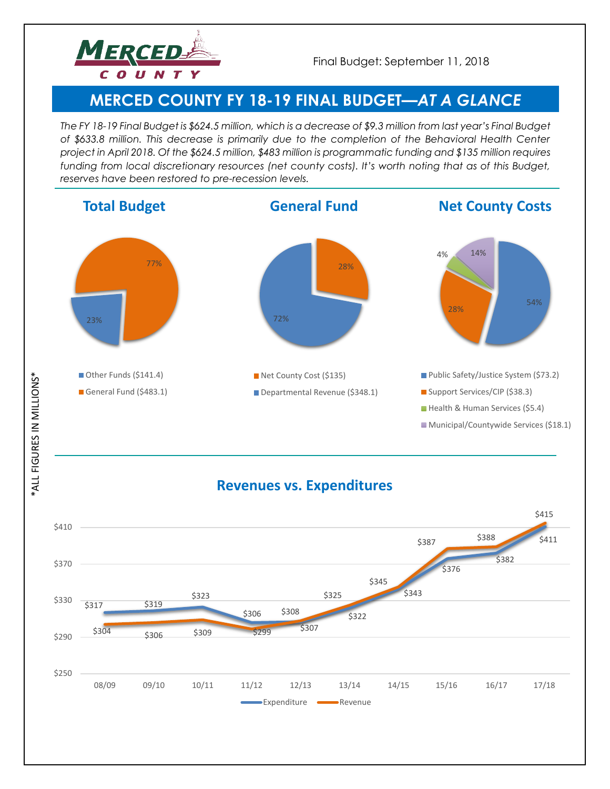

# **MERCED COUNTY FY 18-19 FINAL BUDGET—***AT A GLANCE*

*The FY 18-19 Final Budget is \$624.5 million, which is a decrease of \$9.3 million from last year's Final Budget of \$633.8 million. This decrease is primarily due to the completion of the Behavioral Health Center project in April 2018. Of the \$624.5 million, \$483 million is programmatic funding and \$135 million requires funding from local discretionary resources (net county costs). It's worth noting that as of this Budget, reserves have been restored to pre-recession levels.* 







**ALL FIGURES IN MILLIONS\*** \*ALL FIGURES IN MILLIONS\*